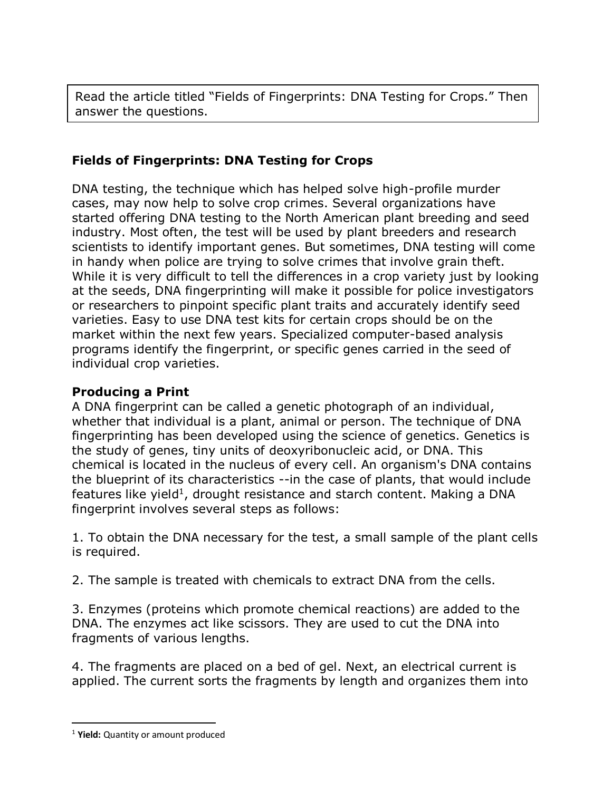Read the article titled "Fields of Fingerprints: DNA Testing for Crops." Then answer the questions.

## **Fields of Fingerprints: DNA Testing for Crops**

DNA testing, the technique which has helped solve high-profile murder cases, may now help to solve crop crimes. Several organizations have started offering DNA testing to the North American plant breeding and seed industry. Most often, the test will be used by plant breeders and research scientists to identify important genes. But sometimes, DNA testing will come in handy when police are trying to solve crimes that involve grain theft. While it is very difficult to tell the differences in a crop variety just by looking at the seeds, DNA fingerprinting will make it possible for police investigators or researchers to pinpoint specific plant traits and accurately identify seed varieties. Easy to use DNA test kits for certain crops should be on the market within the next few years. Specialized computer-based analysis programs identify the fingerprint, or specific genes carried in the seed of individual crop varieties.

## **Producing a Print**

A DNA fingerprint can be called a genetic photograph of an individual, whether that individual is a plant, animal or person. The technique of DNA fingerprinting has been developed using the science of genetics. Genetics is the study of genes, tiny units of deoxyribonucleic acid, or DNA. This chemical is located in the nucleus of every cell. An organism's DNA contains the blueprint of its characteristics --in the case of plants, that would include features like yield<sup>1</sup>, drought resistance and starch content. Making a DNA fingerprint involves several steps as follows:

1. To obtain the DNA necessary for the test, a small sample of the plant cells is required.

2. The sample is treated with chemicals to extract DNA from the cells.

3. Enzymes (proteins which promote chemical reactions) are added to the DNA. The enzymes act like scissors. They are used to cut the DNA into fragments of various lengths.

4. The fragments are placed on a bed of gel. Next, an electrical current is applied. The current sorts the fragments by length and organizes them into

 $\overline{a}$ 

<sup>1</sup> **Yield:** Quantity or amount produced